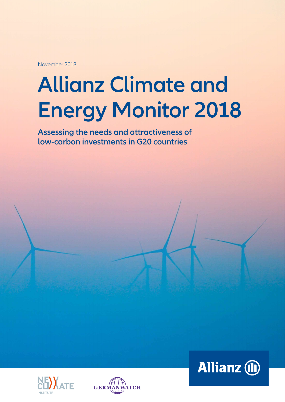November 2018

# **Allianz Climate and Energy Monitor 2018**

**Assessing the needs and attractiveness of low-carbon investments in G20 countries**





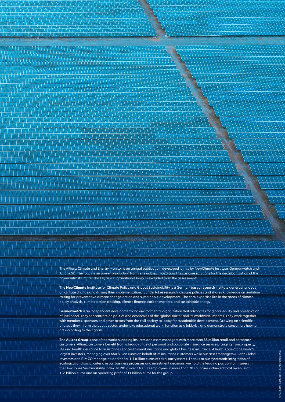The Allianz Climate and Energy Monitor is an annual publication, developed jointly by NewClimate Institute, Germanwatch and Allianz SE. The focus is on power production from renewables in G20 countries as core solutions for the decarbonization of the power infrastructure. The EU, as a supranational body, is excluded from the assessment.

The **NewClimate Institute** for Climate Policy and Global Sustainability is a German-based research institute generating ideas on climate change and driving their implementation. It undertakes research, designs policies and shares knowledge on ambition raising for preventative climate change action and sustainable development. The core expertise lies in the areas of climate policy analysis, climate action tracking, climate finance, carbon markets, and sustainable energy.

**Germanwatch** is an independent development and environmental organization that advocates for global equity and preservation of livelihood. They concentrate on politics and economies of the "global north" and its worldwide impacts. They work together with members, sponsors and other actors from the civil society to lobby for sustainable development. Drawing on scientific analysis they inform the public sector, undertake educational work, function as a lobbyist, and demonstrate consumers how to act according to their goals.

The **Allianz Group** is one of the world's leading insurers and asset managers with more than 88 million retail and corporate customers. Allianz customers benefit from a broad range of personal and corporate insurance services, ranging from property, life and health insurance to assistance services to credit insurance and global business insurance. Allianz is one of the world's largest investors, managing over 660 billion euros on behalf of its insurance customers while our asset managers Allianz Global Investors and PIMCO manage an additional 1.4 trillion euros of third-party assets. Thanks to our systematic integration of ecological and social criteria in our business processes and investment decisions, we hold the leading position for insurers in the Dow Jones Sustainability Index. In 2017, over 140,000 employees in more than 70 countries achieved total revenue of 126 billion euros and an operating profit of 11 billion euros for the group.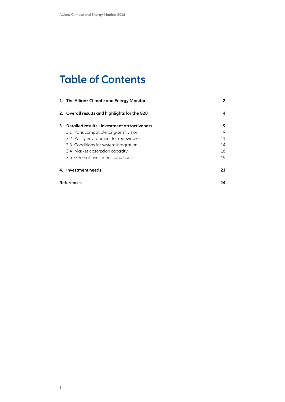## **Table of Contents**

| 1. The Allianz Climate and Energy Monitor       | 2  |  |  |  |  |  |  |  |
|-------------------------------------------------|----|--|--|--|--|--|--|--|
| 2. Overall results and highlights for the G20   | 4  |  |  |  |  |  |  |  |
| 3. Detailed results - Investment attractiveness | 9  |  |  |  |  |  |  |  |
| 3.1 Paris compatible long-term vision           | 9  |  |  |  |  |  |  |  |
| 3.2 Policy environment for renewables           | 11 |  |  |  |  |  |  |  |
| 3.3 Conditions for system integration           | 14 |  |  |  |  |  |  |  |
| 3.4 Market absorption capacity                  | 16 |  |  |  |  |  |  |  |
| 3.5 General investment conditions               | 19 |  |  |  |  |  |  |  |
| 4. Investment needs                             | 21 |  |  |  |  |  |  |  |
| References                                      |    |  |  |  |  |  |  |  |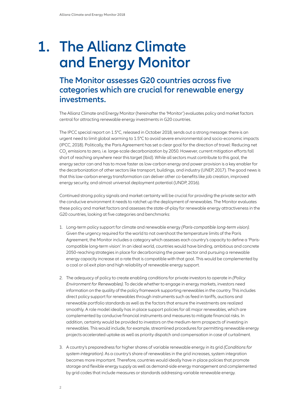## **The Allianz Climate 1.and Energy Monitor**

### **The Monitor assesses G20 countries across five categories which are crucial for renewable energy investments.**

The Allianz Climate and Energy Monitor (hereinafter the 'Monitor') evaluates policy and market factors central for attracting renewable energy investments in G20 countries.

The IPCC special report on 1.5°C, released in October 2018, sends out a strong message: there is an urgent need to limit global warming to 1.5°C to avoid severe environmental and socio-economic impacts (IPCC, 2018). Politically, the Paris Agreement has set a clear goal for the direction of travel: Reducing net CO $_{\rm 2}$  emissions to zero, i.e. large-scale decarbonization by 2050. However, current mitigation efforts fall short of reaching anywhere near this target (Ibid). While all sectors must contribute to this goal, the energy sector can and has to move faster as low-carbon energy and power provision is a key enabler for the decarbonization of other sectors like transport, buildings, and industry (UNEP, 2017). The good news is that this low-carbon energy transformation can deliver other co-benefits like job creation, improved energy security, and almost universal deployment potential (UNDP, 2016).

Continued strong policy signals and market certainty will be crucial for providing the private sector with the conducive environment it needs to ratchet up the deployment of renewables. The Monitor evaluates these policy and market factors and assesses the state-of-play for renewable energy attractiveness in the G20 countries, looking at five categories and benchmarks:

- 1. Long-term policy support for climate and renewable energy *(Paris-compatible long-term vision)*. Given the urgency required for the world to not overshoot the temperature limits of the Paris Agreement, the Monitor includes a category which assesses each country's capacity to define a 'Pariscompatible long-term vision'. In an ideal world, countries would have binding, ambitious and concrete 2050-reaching strategies in place for decarbonizing the power sector and pursuing a renewable energy capacity increase at a rate that is compatible with that goal. This would be complemented by a coal or oil exit plan and high reliability of renewable energy support.
- 2. The adequacy of policy to create enabling conditions for private investors to operate in *(Policy Environment for Renewables)*. To decide whether to engage in energy markets, investors need information on the quality of the policy framework supporting renewables in the country. This includes direct policy support for renewables through instruments such as feed in tariffs, auctions and renewable portfolio standards as well as the factors that ensure the investments are realized smoothly. A role model ideally has in place support policies for all major renewables, which are complemented by conducive financial instruments and measures to mitigate financial risks. In addition, certainty would be provided to investors on the medium-term prospects of investing in renewables. This would include, for example, streamlined procedures for permitting renewable energy projects accelerated uptake as well as priority dispatch and compensation in case of curtailment.
- 3. A country's preparedness for higher shares of variable renewable energy in its grid *(Conditions for system integration).* As a country's share of renewables in the grid increases, system integration becomes more important. Therefore, countries would ideally have in place policies that promote storage and flexible energy supply as well as demand-side energy management and complemented by grid codes that include measures or standards addressing variable renewable energy.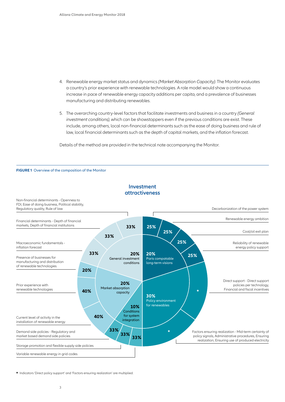- 4. Renewable energy market status and dynamics *(Market Absorption Capacity)*. The Monitor evaluates a country's prior experience with renewable technologies. A role model would show a continuous increase in pace of renewable energy capacity additions per capita, and a prevalence of businesses manufacturing and distributing renewables.
- 5. The overarching country-level factors that facilitate investments and business in a country *(General investment conditions)*, which can be showstoppers even if the previous conditions are exist. These include, among others, local non-financial determinants such as the ease of doing business and rule of law, local financial determinants such as the depth of capital markets, and the inflation forecast.

Details of the method are provided in the technical note accompanying the Monitor.

#### **FIGURE 1** Overview of the composition of the Monitor



\* Indicators 'Direct policy support' and 'Factors ensuring realization' are multiplied.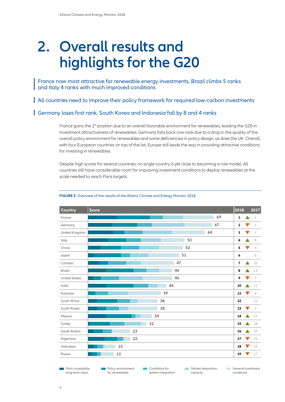## **Overall results and 2. highlights for the G20**

France now most attractive for renewable energy investments, Brazil climbs 5 ranks and Italy 4 ranks with much improved conditions

All countries need to improve their policy framework for required low-carbon investments

#### Germany loses first rank, South Korea and Indonesia fall by 8 and 4 ranks

France gains the 1<sup>st</sup> position due to an overall favorable environment for renewables, leading the G20 in investment attractiveness of renewables. Germany falls back one rank due to a drop in the quality of the overall policy environment for renewables and some deficiencies in policy design, as does the UK. Overall, with four European countries on top of the list, Europe still leads the way in providing attractive conditions for investing in renewables.

Despite high scores for several countries, no single country is yet close to becoming a role model. All countries still have considerable room for improving investment conditions to deploy renewables at the scale needed to reach Paris targets.

| <b>Country</b>                       | <b>Score</b>                                                                                                  | 2018                             | 2017           |
|--------------------------------------|---------------------------------------------------------------------------------------------------------------|----------------------------------|----------------|
| France                               | 69                                                                                                            | 1                                | 3              |
| Germany                              | 67                                                                                                            | $\mathbf 2$                      | $1\,$          |
| United Kingdom                       | 64                                                                                                            | 3                                | $\overline{2}$ |
| Italy                                | 53                                                                                                            | 4                                | 8              |
| China                                | 52                                                                                                            | 5                                | $\overline{4}$ |
| Japan                                | 51                                                                                                            | 6                                | 6              |
| Canada                               | 47                                                                                                            | $\overline{7}$                   | 10             |
| <b>Brazil</b>                        | 46                                                                                                            | 8                                | 13             |
| <b>United States</b>                 | 46                                                                                                            | 9                                | 7              |
| India                                | 44                                                                                                            | 10                               | 11             |
| Australia                            | 39                                                                                                            | 11                               | 9              |
| South Africa                         | 38                                                                                                            | 12                               | 12             |
| South Korea                          | 38                                                                                                            | 13                               | 5              |
| Mexico                               | 34                                                                                                            | 14                               | 15             |
| Turkey                               | 32                                                                                                            | 15                               | 18             |
| Saudi Arabia                         | 23                                                                                                            | 16                               | 19             |
| Argentina                            | 22                                                                                                            | 17                               | 16             |
| Indonesia                            | 15                                                                                                            | 18                               | 14             |
| Russia                               | 13                                                                                                            | 19                               | 17             |
| Paris compatible<br>long-term vision | Conditions for<br>Policy environment<br>Market absorption<br>for renewables<br>system integration<br>capacity | General investment<br>conditions |                |

#### **FIGURE 2** Overview of the results of the Allianz Climate and Energy Monitor 2018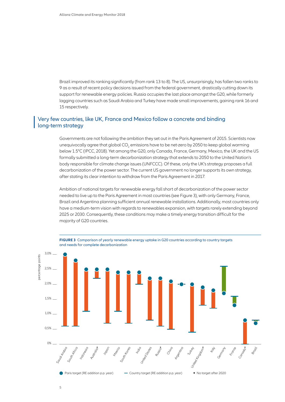Brazil improved its ranking significantly (from rank 13 to 8). The US, unsurprisingly, has fallen two ranks to 9 as a result of recent policy decisions issued from the federal government, drastically cutting down its support for renewable energy policies. Russia occupies the last place amongst the G20, while formerly lagging countries such as Saudi Arabia and Turkey have made small improvements, gaining rank 16 and 15 respectively.

#### Very few countries, like UK, France and Mexico follow a concrete and binding l long-term strategy

Governments are not following the ambition they set out in the Paris Agreement of 2015. Scientists now unequivocally agree that global CO<sub>2</sub> emissions have to be net-zero by 2050 to keep global warming below 1.5°C (IPCC, 2018). Yet among the G20, only Canada, France, Germany, Mexico, the UK and the US formally submitted a long-term decarbonization strategy that extends to 2050 to the United Nation's body responsible for climate change issues (UNFCCC). Of these, only the UK's strategy proposes a full decarbonization of the power sector. The current US government no longer supports its own strategy, after stating its clear intention to withdraw from the Paris Agreement in 2017.

Ambition of national targets for renewable energy fall short of decarbonization of the power sector needed to live up to the Paris Agreement in most countries (see Figure 3), with only Germany, France, Brazil and Argentina planning sufficient annual renewable installations. Additionally, most countries only have a medium-term vision with regards to renewables expansion, with targets rarely extending beyond 2025 or 2030. Consequently, these conditions may make a timely energy transition difficult for the majority of G20 countries.



**FIGURE 3** Comparison of yearly renewable energy uptake in G20 countries according to country targets and needs for complete decarbonization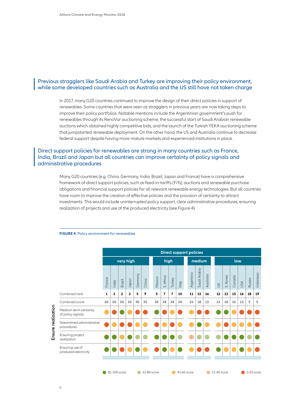#### Previous stragglers like Saudi Arabia and Turkey are improving their policy environment, while some developed countries such as Australia and the US still have not taken charge

In 2017, many G20 countries continued to improve the design of their direct policies in support of renewables. Some countries that were seen as stragglers in previous years are now taking steps to improve their policy portfolios. Notable mentions include the Argentinian government's push for renewables through its RenoVar auctioning scheme, the successful start of Saudi Arabian renewable auctions which obtained highly competitive bids, and the launch of the Turkish YEKA auctioning scheme that jumpstarted renewable deployment. On the other hand, the US and Australia continue to decrease federal support despite having more mature markets and experienced institutions in place.

#### Direct support policies for renewables are strong in many countries such as France, India, Brazil and Japan but all countries can improve certainty of policy signals and administrative procedures

Many G20 countries (e.g. China, Germany, India, Brazil, Japan and France) have a comprehensive framework of direct support policies, such as feed-in-tariffs (FiTs), auctions and renewable purchase obligations and financial support policies for all relevant renewable energy technologies. But all countries have room to improve the creation of effective policies and the provision of certainty to attract investments. This would include uninterrupted policy support, clear administrative procedures, ensuring realization of projects and use of the produced electricity (see Figure 4).

|                    |                                            |        | <b>Direct support policies</b> |                |                |         |             |      |        |                |                |             |        |           |              |           |     |             |          |        |     |        |            |
|--------------------|--------------------------------------------|--------|--------------------------------|----------------|----------------|---------|-------------|------|--------|----------------|----------------|-------------|--------|-----------|--------------|-----------|-----|-------------|----------|--------|-----|--------|------------|
|                    |                                            |        |                                |                | very high      |         |             | high |        |                |                |             | medium |           |              |           | low |             |          |        |     |        |            |
|                    |                                            | France | India                          | Brazil         | Japan          | Germany | China       |      | Mexico | S. Africa      | Turkey         | Italy       |        | Argentina | Saudi Arabia | Australia |     | $\leq$      | S. Korea | Canada | USA | Russia | Indonesia  |
|                    | Combined rank                              | 1      | $\overline{2}$                 | $\overline{2}$ | $\overline{2}$ | 5       | 9           |      | 5      | $\overline{7}$ | $\overline{7}$ | 10          |        | 11        | 13           | 16        |     | 12          | 13       | 15     | 16  | 18     | 19         |
|                    | Combined score                             | 60     | 50                             | 50             | 50             | 45      | 35          |      | 45     | 38             | 38             | 34          |        | 23        | 18           | 13        |     | 21          | 18       | 15     | 13  | 9      | 5          |
| Ensure realization | Medium term certainty<br>of policy signals |        |                                |                |                |         |             |      |        |                |                |             |        |           |              |           |     |             |          |        |     |        |            |
|                    | Streamlined administrative<br>procedures   |        |                                |                |                |         |             |      |        |                |                |             |        |           |              |           |     |             |          |        |     |        |            |
|                    | Ensuring project<br>realization            |        |                                |                |                |         |             |      |        |                |                |             |        |           |              |           |     |             |          |        |     |        |            |
|                    | Ensuring use of<br>produced electricity    |        |                                |                |                |         |             |      |        |                |                |             |        |           |              |           |     |             |          |        |     |        |            |
|                    |                                            |        |                                | 81-100 score   |                |         | 61-80 score |      |        |                |                | 41-60 score |        |           |              |           |     | 21-40 score |          |        |     |        | 0-20 score |

#### **FIGURE 4** Policy environment for renewables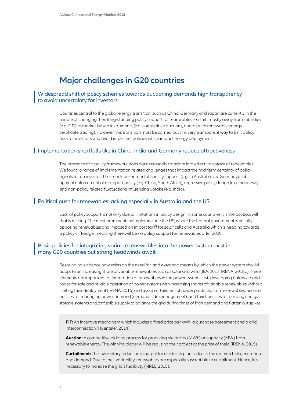### **Major challenges in G20 countries**

#### Widespread shift of policy schemes towards auctioning demands high transparency to avoid uncertainty for investors

Countries central to the global energy transition, such as China, Germany and Japan are currently in the middle of changing their long-standing policy support for renewables – a shift mostly away from subsidies (e.g. FiTs) to market-based instruments (e.g. competitive auctions, quotas with renewable energy certificate trading). However, this transition must be carried out in a very transparent way to limit policy risks for investors and avoid imperfect policies which impact energy deployment.

#### Implementation shortfalls like in China, India and Germany reduce attractiveness

The presence of a policy framework does not necessarily translate into effective uptake of renewables. We found a range of implementation related challenges that impact the mid-term certainty of policy signals for an investor. These include: on-and off-policy support (e.g. in Australia, US, Germany); suboptimal enforcement of a support policy (e.g. China, South Africa); regressive policy design (e.g. Indonesia) and non-policy related fluctuations influencing uptake (e.g. India).

#### Political push for renewables lacking especially in Australia and the US

Lack of policy support is not only due to limitations in policy design, in some countries it is the political will that is missing. The most prominent examples include the US, where the federal government is vocally opposing renewables and imposed an import tariff for solar cells and Australia which is heading towards a policy cliff-edge, meaning there will be no policy support for renewables after 2020.

#### Basic policies for integrating variable renewables into the power system exist in many G20 countries but strong headwinds await

Resounding evidence now exists on the need for, and ways and means by which the power system should adapt to an increasing share of variable renewables such as solar and wind (IEA, 2017; IRENA, 2018b). Three elements are important for integration of renewables in the power system: first, developing balanced grid codes for safe and reliable operation of power systems with increasing shares of variable renewables without limiting their deployment (IRENA, 2016) and avoid curtailment of power produced from renewables. Second, policies for managing power demand (demand-side management); and third, policies for building energy storage systems and/or flexible supply to balance the grid during times of high demand and flatten out spikes.

**FiT:** An incentive mechanism which includes a fixed price per kWh, a purchase agreement and a grid interconnection (Huenteler, 2014).

**Auction:** A competitive bidding process for procuring electricity (MWh) or capacity (MW) from renewable energy. The winning bidder will be realizing their project at the price of theid (IRENA, 2015).

**Curtailment:** The involuntary reduction in output for electricity plants, due to the mismatch of generation and demand. Due to their variability, renewables are especially susceptible to curtailment. Hence, it is necessary to increase the grid's flexibility (NREL, 2015).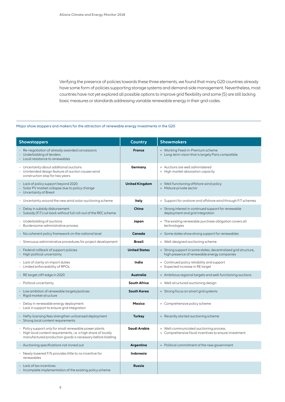Verifying the presence of policies towards these three elements, we found that many G20 countries already have some form of policies supporting storage systems and demand-side management. Nevertheless, most countries have not yet explored all possible options to improve grid flexibility and some (5) are still lacking basic measures or standards addressing variable renewable energy in their grid codes.

#### Major show stoppers and makers for the attraction of renewable energy investments in the G20

| <b>Showstoppers</b>                                                                                                                                                                  | <b>Country</b>        | <b>Showmakers</b>                                                                                             |
|--------------------------------------------------------------------------------------------------------------------------------------------------------------------------------------|-----------------------|---------------------------------------------------------------------------------------------------------------|
| - Re-negotiation of already awarded concessions<br>- Underbidding of tenders<br>- Local resistance to renewables                                                                     | <b>France</b>         | + Working Feed-in-Premium scheme<br>+ Long-term vision that is largely Paris compatible                       |
| - Uncertainty about additional auctions<br>- Unintended design feature of auction causes wind<br>construction stop for two years                                                     | Germany               | + Auctions are well administered<br>+ High market absorption capacity                                         |
| - Lack of policy support beyond 2020<br>Solar PV market collapse due to policy change<br>- Uncertainty of Brexit                                                                     | <b>United Kingdom</b> | + Well-functioning offshore wind policy<br>+ Mature private sector                                            |
| - Uncertainty around the new wind-solar auctioning scheme                                                                                                                            | Italy                 | + Support for onshore and offshore wind through FiT schemes                                                   |
| - Delay in subsidy disbursement<br>- Subsidy (FiT) cut-back without full roll-out of the REC scheme                                                                                  | China                 | + Strong interest in continued support for renewable<br>deployment and grid integration                       |
| - Underbidding of auctions<br>- Burdensome administrative process                                                                                                                    | Japan                 | + The existing renewable purchase obligation covers all<br>technologies                                       |
| - No coherent policy framework on the national level                                                                                                                                 | Canada                | + Some states show strong support for renewables                                                              |
| - Strenuous administrative procedures for project development                                                                                                                        | <b>Brazil</b>         | + Well-designed auctioning scheme                                                                             |
| Federal rollback of support policies<br>- High political uncertainty                                                                                                                 | <b>United States</b>  | + Strong support in some states, decentralized grid structure,<br>high presence of renewable energy companies |
| - Lack of clarity on import duties<br>- Limited enforceability of RPOs                                                                                                               | India                 | + Continued policy reliability and support<br>+ Expected increase in RE target                                |
| - RE target cliff-edge in 2020                                                                                                                                                       | Australia             | + Ambitious regional targets and well-functioning auctions                                                    |
| - Political uncertainty                                                                                                                                                              | <b>South Africa</b>   | + Well-structured auctioning design                                                                           |
| - Low ambition of renewable targets/policies<br>- Rigid market structure                                                                                                             | South Korea           | + Strong focus on smart grid systems                                                                          |
| Delay in renewable energy deployment<br>- Lack in support to ensure grid integration                                                                                                 | Mexico                | + Comprehensive policy scheme                                                                                 |
| Hefty licensing fees strengthen unlicensed deployment<br>- Strong local content requirements                                                                                         | <b>Turkey</b>         | + Recently started auctioning scheme                                                                          |
| Policy support only for small renewable power plants<br>- High local content requirements, i.e. a high share of locally<br>manufactured production goods is necessary before bidding | Saudi Arabia          | + Well-communicated auctioning process<br>+ Comprehensive fiscal incentives to ensure investment              |
| - Auctioning specifications not ironed out                                                                                                                                           | Argentina             | + Political commitment of the new government                                                                  |
| - Newly lowered FiTs provides little to no incentive for<br>renewables                                                                                                               | Indonesia             |                                                                                                               |
| Lack of tax incentives<br>Incomplete implementation of the existing policy scheme                                                                                                    | <b>Russia</b>         |                                                                                                               |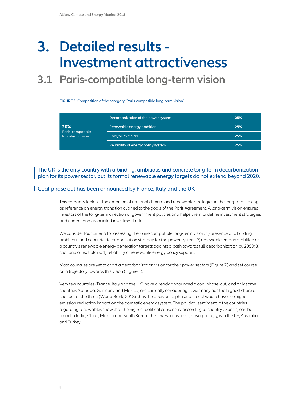### **Detailed results - Investment attractiveness 3.**

## **3.1 Paris-compatible long-term vision**

**FIGURE 5** Composition of the category 'Paris-compatible long-term vision'

|                                      | Decarbonization of the power system | 25% |
|--------------------------------------|-------------------------------------|-----|
| 20%                                  | Renewable energy ambition           | 25% |
| Paris-compatible<br>long-term vision | Coal/oil exit plan                  | 25% |
|                                      | Reliability of energy policy system | 25% |

The UK is the only country with a binding, ambitious and concrete long-term decarbonization **plan for its power sector, but its formal renewable energy targets do not extend beyond 2020.** 

#### Coal-phase out has been announced by France, Italy and the UK

This category looks at the ambition of national climate and renewable strategies in the long-term, taking as reference an energy transition aligned to the goals of the Paris Agreement. A long-term vision ensures investors of the long-term direction of government policies and helps them to define investment strategies and understand associated investment risks.

We consider four criteria for assessing the Paris-compatible long-term vision: 1) presence of a binding, ambitious and concrete decarbonization strategy for the power system, 2) renewable energy ambition or a country's renewable energy generation targets against a path towards full decarbonization by 2050; 3) coal and oil exit plans; 4) reliability of renewable energy policy support.

Most countries are yet to chart a decarbonization vision for their power sectors (Figure 7) and set course on a trajectory towards this vision (Figure 3).

Very few countries (France, Italy and the UK) have already announced a coal phase-out, and only some countries (Canada, Germany and Mexico) are currently considering it. Germany has the highest share of coal out of the three (World Bank, 2018), thus the decision to phase-out coal would have the highest emission reduction impact on the domestic energy system. The political sentiment in the countries regarding renewables show that the highest political consensus, according to country experts, can be found in India, China, Mexico and South Korea. The lowest consensus, unsurprisingly, is in the US, Australia and Turkey.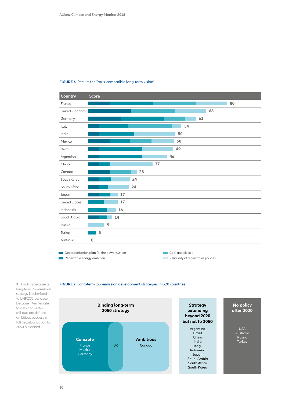

#### **FIGURE 6** Results for 'Paris-compatible long-term vision'

Decarbonization plan for the power system **Renewable energy ambition** 

Coal and oil exit **Reliability of renewables policies** 

**FIGURE 7** Long-term low-emission development strategies in G20 countries<sup>1</sup>

**Binding long-term 2050 strategy Concrete Concrete Concrete Concrete Concrete Concrete Concrete Concrete Concrete Concrete Concrete Concrete Concrete Concrete Concrete Concrete Concrete Concrete Concrete** France Mexico Germany **Ambitious** UK Canada

#### **Strategy extending beyond 2020 but not to 2050**  Argentina

Brazil China India Italy Indonesia Japan Saudi-Arabia South Africa South Korea

#### **No policy after 2020**

USA Australia Russia

**1** Binding because a long-term low-emission strategy is submitted to UNFCCC, concrete because intermediate targets and sector roll-outs are defined, ambitious because a full decarbonization by 2050 is planned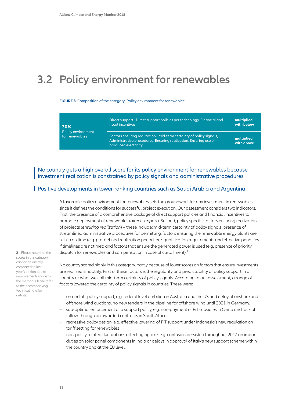## **3.2 Policy environment for renewables**

**FIGURE 8** Composition of the category 'Policy environment for renewables'

| 30%                                  | Direct support - Direct support policies per technology, Financial and<br>fiscal incentives                                                                      | multiplied<br>with below |
|--------------------------------------|------------------------------------------------------------------------------------------------------------------------------------------------------------------|--------------------------|
| Policy environment<br>for renewables | Factors ensuring realization - Mid-term certainty of policy signals,<br>Administrative procedures, Ensuring realization, Ensuring use of<br>produced electricity | multiplied<br>with above |

#### No country gets a high overall score for its policy environment for renewables because investment realization is constrained by policy signals and administrative procedures

#### Positive developments in lower-ranking countries such as Saudi Arabia and Argentina

A favorable policy environment for renewables sets the groundwork for any investment in renewables, since it defines the conditions for successful project execution. Our assessment considers two indicators. First, the presence of a comprehensive package of direct support policies and financial incentives to promote deployment of renewables (*direct support*). Second, policy specific factors ensuring realization of projects (*ensuring realization*) − these include: mid-term certainty of policy signals, presence of streamlined administrative procedures for permitting, factors ensuring the renewable energy plants are set up on time (e.g. pre-defined realization period, pre-qualification requirements and effective penalties if timelines are not met) and factors that ensure the generated power is used (e.g. presence of priority dispatch for renewables and compensation in case of curtailment).<sup>2</sup>

**2** Please note that the scores in this category cannot be directly compared to last year's edition due to improvements made to the method. Please refer to the accompanying technical note for details.

No country scored highly in this category, partly because of lower scores on factors that ensure investments are realized smoothly. First of these factors is the regularity and predictability of policy support in a country or what we call mid-term certainty of policy signals. According to our assessment, a range of factors lowered the certainty of policy signals in countries. These were:

- on and off-policy support, e.g. federal level ambition in Australia and the US and delay of onshore and offshore wind auctions, no new tenders in the pipeline for offshore wind until 2021 in Germany;
- sub-optimal enforcement of a support policy, e.g. non-payment of FiT subsidies in China and lack of follow-through on awarded contracts in South Africa;
- regressive policy design, e.g. effective lowering of FiT support under Indonesia's new regulation on tariff setting for renewables
- non-policy related fluctuations affecting uptake, e.g. confusion persisted throughout 2017 on import duties on solar panel components in India or delays in approval of Italy's new support scheme within the country and at the EU level.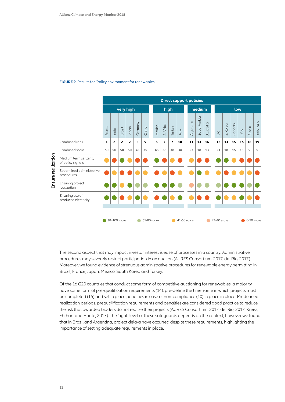#### **FIGURE 9** Results for 'Policy environment for renewables'

|                    |                                            |        | <b>Direct support policies</b> |                |              |         |             |  |        |                |                |             |  |           |              |           |    |        |             |        |     |        |            |
|--------------------|--------------------------------------------|--------|--------------------------------|----------------|--------------|---------|-------------|--|--------|----------------|----------------|-------------|--|-----------|--------------|-----------|----|--------|-------------|--------|-----|--------|------------|
|                    |                                            |        | very high                      |                |              |         |             |  | high   |                |                |             |  | medium    |              |           |    | low    |             |        |     |        |            |
|                    |                                            | France | India                          | Brazil         | Japan        | Germany | China       |  | Mexico | S. Africa      | Turkey         | Italy       |  | Argentina | Saudi Arabia | Australia |    | $\leq$ | S. Korea    | Canada | USA | Russia | Indonesia  |
| Ensure realization | Combined rank                              | 1      | 2                              | $\overline{2}$ | $\mathbf{2}$ | 5       | 9           |  | 5      | $\overline{7}$ | $\overline{7}$ | 10          |  | 11        | 13           | 16        | 12 |        | 13          | 15     | 16  | 18     | 19         |
|                    | Combined score                             | 60     | 50                             | 50             | 50           | 45      | 35          |  | 45     | 38             | 38             | 34          |  | 23        | 18           | 13        | 21 |        | 18          | 15     | 13  | 9      | 5          |
|                    | Medium term certainty<br>of policy signals |        |                                |                |              |         |             |  |        |                |                |             |  |           |              |           |    |        |             |        |     |        |            |
|                    | Streamlined administrative<br>procedures   |        |                                |                |              |         |             |  |        |                |                |             |  |           |              |           |    |        |             |        |     |        |            |
|                    | Ensuring project<br>realization            |        |                                |                |              |         |             |  |        |                |                |             |  |           |              |           |    |        |             |        |     |        |            |
|                    | Ensuring use of<br>produced electricity    |        |                                |                |              |         |             |  |        |                |                |             |  |           |              |           |    |        |             |        |     |        |            |
|                    |                                            |        | 81-100 score                   |                |              |         | 61-80 score |  |        |                |                | 41-60 score |  |           |              |           |    |        | 21-40 score |        |     |        | 0-20 score |

The second aspect that may impact investor interest is ease of processes in a country. Administrative procedures may severely restrict participation in an auction (AURES Consortium, 2017; del Río, 2017). Moreover, we found evidence of strenuous administrative procedures for renewable energy permitting in Brazil, France, Japan, Mexico, South Korea and Turkey.

Of the 16 G20 countries that conduct some form of competitive auctioning for renewables, a majority have some form of pre-qualification requirements (14), pre-define the timeframe in which projects must be completed (15) and set in place penalties in case of non-compliance (10) in place in place. Predefined realization periods, prequalification requirements and penalties are considered good practice to reduce the risk that awarded bidders do not realize their projects (AURES Consortium, 2017; del Río, 2017; Kreiss, Ehrhart and Haufe, 2017). The 'right' level of these safeguards depends on the context, however we found that in Brazil and Argentina, project delays have occurred despite these requirements, highlighting the importance of setting adequate requirements in place.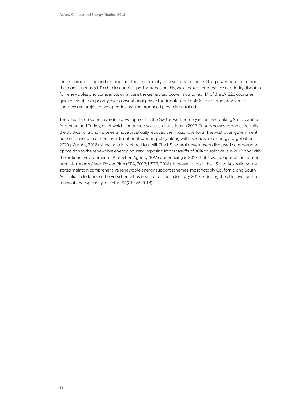Once a project is up and running, another uncertainty for investors can arise if the power generated from the plant is not used. To check countries' performance on this, we checked for presence of priority dispatch for renewables and compensation in case the generated power is curtailed. 14 of the 19 G20 countries give renewables a priority over conventional power for dispatch, but only 8 have some provision to compensate project developers in case the produced power is curtailed.

There has been some favorable development in the G20 as well, namely in the low-ranking Saudi Arabia, Argentina and Turkey, all of which conducted successful auctions in 2017. Others however, and especially the US, Australia and Indonesia, have drastically reduced their national efforts: The Australian government has announced to discontinue its national support policy along with its renewable energy target after 2020 (Murphy, 2018), showing a lack of political will. The US federal government displayed considerable opposition to the renewable energy industry, imposing import tariffs of 30% on solar cells in 2018 and with the national Environmental Protection Agency (EPA) announcing in 2017 that it would appeal the former administration's Clean Power Plan (EPA, 2017; USTR, 2018). However, in both the US and Australia, some states maintain comprehensive renewable energy support schemes, most notably California and South Australia. In Indonesia, the FiT scheme has been reformed in January 2017, reducing the effective tariff for renewables, especially for solar PV (CEEW, 2018).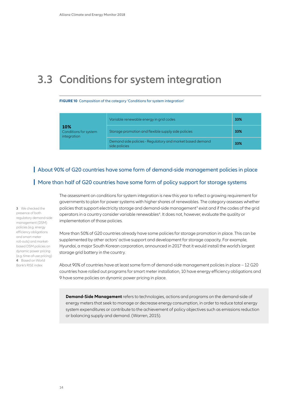## **3.3 Conditions for system integration**

**FIGURE 10** Composition of the category 'Conditions for system integration'

|                                                    | Variable renewable energy in grid codes                                    | 33% |
|----------------------------------------------------|----------------------------------------------------------------------------|-----|
| <b>10%</b><br>Conditions for system<br>integration | Storage promotion and flexible supply side policies                        | 33% |
|                                                    | Demand side policies - Regulatory and market based demand<br>side policies | 33% |

#### About 90% of G20 countries have some form of demand-side management policies in place

#### More than half of G20 countries have some form of policy support for storage systems

**3** We checked the presence of both regulatory demand-side management (DSM) policies (e.g. energy efficiency obligations and smart meter roll-outs) and marketbased DSM policies on dynamic power pricing (e.g. time-of-use pricing) **4** Based on World Bank's RISE index

The assessment on conditions for system integration is new this year to reflect a growing requirement for governments to plan for power systems with higher shares of renewables. The category assesses whether policies that support electricity storage and demand-side management<sup>3</sup> exist and if the codes of the grid operators in a country consider variable renewables<sup>4</sup>. It does not, however, evaluate the quality or implementation of those policies.

More than 50% of G20 countries already have some policies for storage promotion in place. This can be supplemented by other actors' active support and development for storage capacity. For example, Hyundai, a major South Korean corporation, announced in 2017 that it would install the world's largest storage grid battery in the country.

About 90% of countries have at least some form of demand-side management policies in place – 12 G20 countries have rolled out programs for smart meter installation, 10 have energy efficiency obligations and 9 have some policies on dynamic power pricing in place.

**Demand-Side Management** refers to technologies, actions and programs on the demand-side of energy meters that seek to manage or decrease energy consumption, in order to reduce total energy system expenditures or contribute to the achievement of policy objectives such as emissions reduction or balancing supply and demand. (Warren, 2015).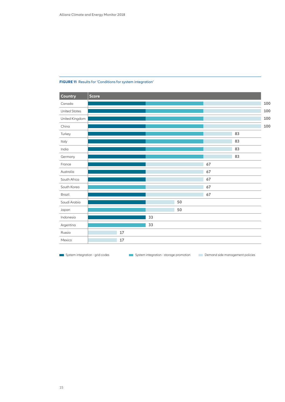|  |  |  |  | <b>FIGURE 11</b> Results for 'Conditions for system integration' |
|--|--|--|--|------------------------------------------------------------------|
|--|--|--|--|------------------------------------------------------------------|

| Country              | Score |    |    |    |    |    |
|----------------------|-------|----|----|----|----|----|
| Canada               |       |    |    |    |    |    |
| <b>United States</b> |       |    |    |    |    |    |
| United Kingdom       |       |    |    |    |    |    |
| China                |       |    |    |    |    |    |
| Turkey               |       |    |    |    |    | 83 |
| Italy                |       |    |    |    |    | 83 |
| India                |       |    |    |    |    | 83 |
| Germany              |       |    |    |    |    | 83 |
| France               |       |    |    |    | 67 |    |
| Australia            |       |    |    |    | 67 |    |
| South Africa         |       |    |    |    | 67 |    |
| South Korea          |       |    |    |    | 67 |    |
| <b>Brazil</b>        |       |    |    |    | 67 |    |
| Saudi Arabia         |       |    |    | 50 |    |    |
| Japan                |       |    |    | 50 |    |    |
| Indonesia            |       |    | 33 |    |    |    |
| Argentina            |       |    | 33 |    |    |    |
| Russia               |       | 17 |    |    |    |    |
| Mexico               |       | 17 |    |    |    |    |

System integration - grid codes System integration - storage promotion Demand side management policies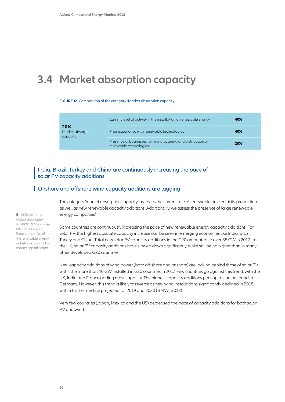## **3.4 Market absorption capacity**

**FIGURE 12** Composition of the category 'Market absorption capacity'

|                                             | Current level of activity in the installation of renewable energy                      | 40% |
|---------------------------------------------|----------------------------------------------------------------------------------------|-----|
| <b>20%</b><br>Market absorption<br>capacity | Prior experience with renewable technologies                                           | 40% |
|                                             | Presence of businesses for manufacturing and distribution of<br>renewable technologies | 20% |

#### India, Brazil, Turkey and China are continuously increasing the pace of solar PV capacity additions

#### Onshore and offshore wind capacity additions are lagging

The category 'market absorption capacity' assesses the current role of renewables in electricity production as well as new renewable capacity additions. Additionally, we assess the presence of large renewable energy companies<sup>5</sup>.

**5** As listed in the global stock index RENIXX. RENIXX index lists the 30 largest listed companies of the renewable energy industry worldwide by market capitalization

Some countries are continuously increasing the pace of new renewable energy capacity additions. For solar PV, the highest absolute capacity increase can be seen in emerging economies like India, Brazil, Turkey and China. Total new solar PV capacity additions in the G20 amounted to over 85 GW in 2017. In the UK, solar PV capacity additions have slowed down significantly, while still being higher than in many other developed G20 countries.

New capacity additions of wind power (both off shore and onshore) are lacking behind those of solar PV, with little more than 40 GW installed in G20 countries in 2017. Few countries go against this trend, with the UK, India and France adding most capacity. The highest capacity additions per capita can be found in Germany. However, this trend is likely to reverse as new wind installations significantly declined in 2018, with a further decline projected for 2019 and 2020 (BMWi, 2018).

Very few countries (Japan, Mexico and the US) decreased the pace of capacity additions for both solar PV and wind.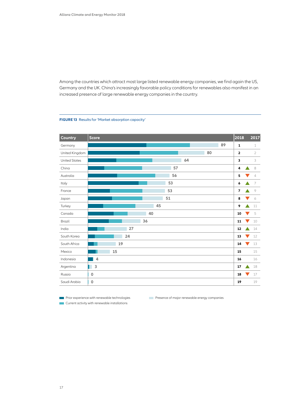Among the countries which attract most large listed renewable energy companies, we find again the US, Germany and the UK. China's increasingly favorable policy conditions for renewables also manifest in an increased presence of large renewable energy companies in the country.

#### **FIGURE 13** Results for 'Market absorption capacity'

| <b>Country</b>       | <b>Score</b> | 2018                    | 2017           |
|----------------------|--------------|-------------------------|----------------|
| Germany              | 89           | 1                       | $1\,$          |
| United Kingdom       | 80           | $\overline{\mathbf{2}}$ | $\overline{2}$ |
| <b>United States</b> | 64           | 3                       | 3              |
| China                | 57           | 4                       | 8              |
| Australia            | 56           | 5                       | $\overline{4}$ |
| Italy                | 53           | 6                       | $\overline{7}$ |
| France               | 53           | $\overline{7}$          | $\circ$        |
| Japan                | 51           | 8                       | 6              |
| Turkey               | 45           | 9                       | 11             |
| Canada               | 40           | 10                      | 5              |
| Brazil               | 36           | 11                      | 10             |
| India                | 27           | 12                      | 14             |
| South Korea          | 24           | 13                      | 12<br>v        |
| South Africa         | 19           | 14                      | 13<br>v        |
| Mexico               | 15           | 15                      | 15             |
| Indonesia            | 4            | 16                      | 16             |
| Argentina            | 3            | 17                      | 18             |
| Russia               | $\pmb{0}$    | 18                      | 17             |
| Saudi Arabia         | $\mathbf 0$  | 19                      | 19             |

**PRIOR** Prior experience with renewable technologies **Current activity with renewable installations** 

**Presence of major renewable energy companies**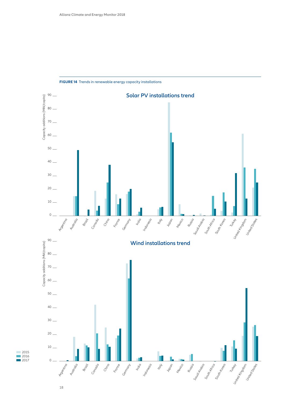2015 2016 2017



#### **FIGURE 14** Trends in renewable energy capacity installations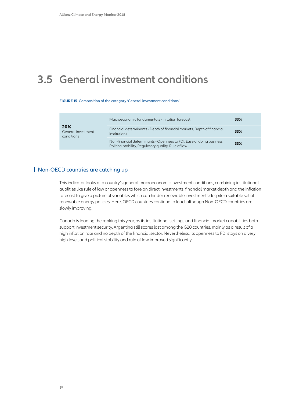## **3.5 General investment conditions**

**FIGURE 15** Composition of the category 'General investment conditions'

| 20%<br>General investment<br>conditions | Macroeconomic fundamentals - inflation forecast                                                                               | 33% |
|-----------------------------------------|-------------------------------------------------------------------------------------------------------------------------------|-----|
|                                         | Financial determinants - Depth of financial markets, Depth of financial<br>institutions                                       | 33% |
|                                         | Non-financial determinants - Openness to FDI, Ease of doing business,<br>Political stability, Regulatory quality, Rule of law | 33% |

#### | Non-OECD countries are catching up

This indicator looks at a country's general macroeconomic investment conditions, combining institutional qualities like rule of law or openness to foreign direct investments, financial market depth and the inflation forecast to give a picture of variables which can hinder renewable investments despite a suitable set of renewable energy policies. Here, OECD countries continue to lead, although Non-OECD countries are slowly improving.

Canada is leading the ranking this year, as its institutional settings and financial market capabilities both support investment security. Argentina still scores last among the G20 countries, mainly as a result of a high inflation rate and no depth of the financial sector. Nevertheless, its openness to FDI stays on a very high level, and political stability and rule of law improved significantly.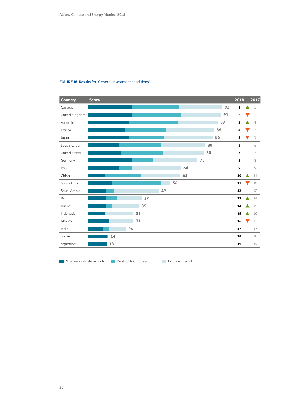| <b>Country</b>       | <b>Score</b> |    |    | 2018           | 2017           |
|----------------------|--------------|----|----|----------------|----------------|
| Canada               |              |    | 92 | 1              | 5              |
| United Kingdom       |              |    | 91 | $\overline{2}$ | $\mathbf{1}$   |
| Australia            |              |    | 89 | 3              | $\overline{4}$ |
| France               |              |    | 86 | 4              | $\overline{c}$ |
| Japan                |              |    | 86 | 5              | 3              |
| South Korea          |              | 80 |    | 6              | 6              |
| <b>United States</b> | 80           |    |    | $\overline{7}$ | $\overline{7}$ |
| Germany              | 75           |    |    | 8              | 8              |
| Italy                | 64           |    |    | 9              | 9              |
| China                | 63           |    |    | 10             | 11             |
| South Africa         | 56           |    |    | 11             | 10             |
| Saudi Arabia         | 49           |    |    | 12             | 12             |
| Brazil               | 37           |    |    | 13             | 14             |
| Russia               | 35           |    |    | 14             | 15             |
| Indonesia            | 31           |    |    | 15             | 16             |
| Mexico               | 31           |    |    | 16             | 13             |
| India                | 26           |    |    | 17             | 17             |
| Turkey               | 14           |    |    | 18             | 18             |
| Argentina            | 13           |    |    | 19             | 19             |

#### **FIGURE 16** Results for 'General investment conditions'

**Non financial determinants Depth of financial sector Inflation forecast**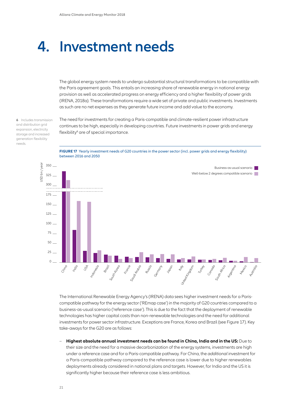## **4. Investment needs**

The global energy system needs to undergo substantial structural transformations to be compatible with the Paris agreement goals. This entails an increasing share of renewable energy in national energy provision as well as accelerated progress on energy efficiency and a higher flexibility of power grids (IRENA, 2018a). These transformations require a wide set of private and public investments. Investments as such are no net expenses as they generate future income and add value to the economy.

**6** Includes transmission and distribution grid expansion, electricity storage and increased generation flexibility needs.

> JSD bn / year USD bn / year

The need for investments for creating a Paris-compatible and climate-resilient power infrastructure continues to be high, especially in developing countries. Future investments in power grids and energy flexibility<sup>6</sup> are of special importance.



Russia

**France** Saudi Arabi.

**FIGURE 17** Yearly investment needs of G20 countries in the power sector (incl. power grids and energy flexibility)

The International Renewable Energy Agency's (IRENA) data sees higher investment needs for a Pariscompatible pathway for the energy sector ('REmap case') in the majority of G20 countries compared to a business-as-usual scenario ('reference case'). This is due to the fact that the deployment of renewable technologies has higher capital costs than non-renewable technologies and the need for additional investments for power sector infrastructure. Exceptions are France, Korea and Brazil (see Figure 17). Key take-aways for the G20 are as follows:

Germany

Japan

United Kingdom

**Turkey** 

**Mexico** 

– **Highest absolute annual investment needs can be found in China, India and in the US:** Due to their size and the need for a massive decarbonization of the energy systems, investments are high under a reference case and for a Paris-compatible pathway. For China, the *additional* investment for a Paris-compatible pathway compared to the reference case is lower due to higher renewables deployments already considered in national plans and targets. However, for India and the US it is significantly higher because their reference case is less ambitious.

USA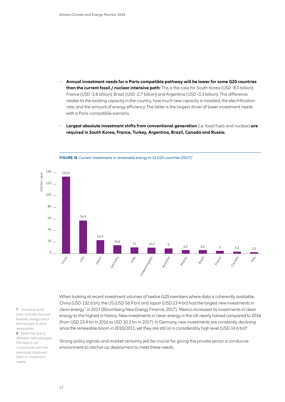- **Annual investment needs for a Paris-compatible pathway will be lower for some G20 countries than the current fossil / nuclear intensive path:** This is the case for South Korea (USD -8.0 billion), France (USD -3.8 billion), Brazil (USD -2.7 billion) and Argentina (USD -0.3 billion). This difference relates to the existing capacity in the country, how much new capacity is installed, the electrification rate, and the amount of energy efficiency. The latter is the largest driver of lower investment needs with a Paris-compatible scenario.
- **Largest absolute investment shifts from conventional generation** (i.e. fossil fuels and nuclear) **are required in South Korea, France, Turkey, Argentina, Brazil, Canada and Russia.**





**7** Including wind, solar, biofuels, biomass & waste, energy smart technologies & other renewables.

**8** Note that due to different methodologies, this data is not comparable with the previously displayed data on investment needs.

When looking at recent investment volumes of twelve G20 members where data is coherently available, China (USD 132.6 bn), the US (USD 56.9 bn) and Japan (USD 23.4 bn) had the largest new investments in clean energy<sup>7</sup> in 2017 (Bloomberg New Energy Finance, 2017). Mexico increased its investments in clean energy to the highest in history. New investments in clean energy in the UK nearly halved compared to 2016 (from USD 23.4 bn in 2016 to USD 10.3 bn in 2017). In Germany, new investments are constantly declining since the renewable boom in 2010/2011; yet they are still on a considerably high level (USD 14.6 bn) $^{\rm 8}.$ 

Strong policy signals and market certainty will be crucial for giving the private sector a conducive environment to ratchet-up deployment to meet these needs.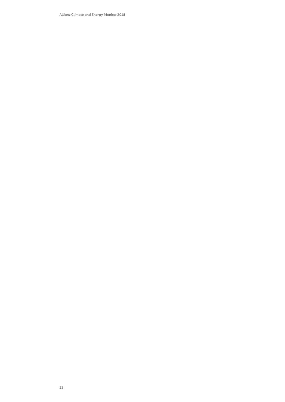**Allianz Climate and Energy Monitor 2018**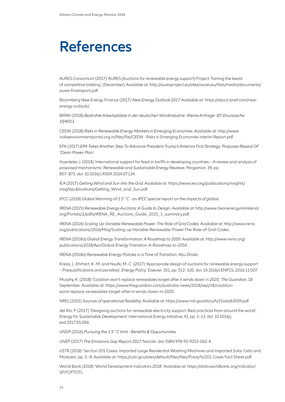## **References**

AURES Consortium (2017) 'AURES (Auctions for renewable energy support) Project: Taming the beast of competitive bidding', (December). Available at: http://auresproject.eu/sites/aures.eu/files/media/documents/ aures-finalreport.pdf.

Bloomberg New Energy Finance (2017) *New Energy Outlook 2017.* Available at: https://about.bnef.com/newenergy-outlook/.

BMWi (2018) *Bedrohte Arbeitsplätze in der deutschen Windindustrie -Kleine Anfrage- BT-Drucksache: 19/4013.*

CEEW (2018) *Risks in Renewable Energy Markets in Emerging Economies.* Available at: http://www. indiaenvironmentportal.org.in/files/file/CEEW - Risks in Emerging Economies Interim Report.pdf.

EPA (2017) *EPA Takes Another Step To Advance President Trump's America First Strategy, Proposes Repeal Of 'Clean Power Plan'.*

Huenteler, J. (2014) 'International support for feed-in tariffs in developing countries—A review and analysis of proposed mechanisms', *Renewable and Sustainable Energy Reviews.* Pergamon, 39, pp. 857–873. doi: 10.1016/J.RSER.2014.07.124.

IEA (2017) *Getting Wind and Sun into the Grid.* Available at: https://www.iea.org/publications/insights/ insightpublications/Getting\_Wind\_and\_Sun.pdf.

IPCC (2018) *Global Warming of 1.5 ° C - an IPCC special report on the impacts of global.*

IRENA (2015) *Renewable Energy Auctions: A Guide to Deisgn.* Available at: http://www.cleanenergyministerial. org/Portals/2/pdfs/IRENA\_RE\_Auctions\_Guide\_2015\_1\_summary.pdf.

IRENA (2016) *Scaling Up Variable Renewable Power: The Role of Grid Codes.* Available at: http://www.irena. org/publications/2016/May/Scaling-up-Variable-Renewable-Power-The-Role-of-Grid-Codes.

IRENA (2018a) *Global Energy Transformation: A Roadmap to 2050.* Available at: http://www.irena.org/ publications/2018/Apr/Global-Energy-Transition-A-Roadmap-to-2050.

IRENA (2018b) *Renewable Energy Policies in a Time of Transition.* Abu Dhabi.

Kreiss, J., Ehrhart, K.-M. and Haufe, M.-C. (2017) 'Appropriate design of auctions for renewable energy support – Prequalifications and penalties', *Energy Policy.* Elsevier, 101, pp. 512–520. doi: 10.1016/J.ENPOL.2016.11.007.

Murphy, K. (2018) 'Coalition won't replace renewables target after it winds down in 2020', *The Guardian,* 18 September. Available at: https://www.theguardian.com/australia-news/2018/sep/18/coalitionwont-replace-renewables-target-after-it-winds-down-in-2020.

NREL (2015) *Sources of operational flexibility.* Available at: https://www.nrel.gov/docs/fy15osti/63039.pdf.

del Río, P. (2017) 'Designing auctions for renewable electricity support. Best practices from around the world', *Energy for Sustainable Development.* International Energy Initiative, 41, pp. 1–13. doi: 10.1016/j. esd.2017.05.006.

UNDP (2016) *Pursuing the 1.5 ° C limit - Benefits & Opportunities.*

UNEP (2017) *The Emissions Gap Report 2017.* Nairobi. doi: ISBN 978-92-9253-062-4.

USTR (2018) 'Section 201 Cases: Imported Large Residential Washing Machines and Imported Solar Cells and Modules', pp. 5–8. Available at: https://ustr.gov/sites/default/files/files/Press/fs/201 Cases Fact Sheet.pdf.

World Bank (2018) 'World Development Indicators 2018'. Available at: https://data.worldbank.org/indicator/ SP.POP.TOTL.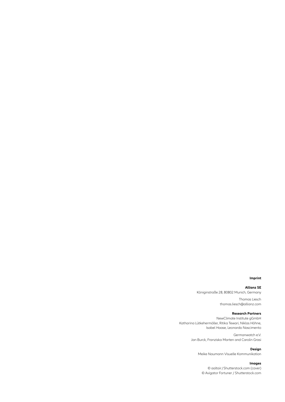#### **Imprint**

#### **Allianz SE**

Königinstraße 28, 80802 Munich, Germany

Thomas Liesch thomas.liesch@allianz.com

#### **Research Partners**

NewClimate Institute gGmbH Katharina Lütkehermöller, Ritika Tewari, Niklas Höhne, Isabel Haase, Leonardo Nascimento

> Germanwatch e.V. Jan Burck, Franziska Marten and Carolin Grasi

#### **Design**

Meike Naumann Visuelle Kommunikation

#### **Images**

© aaltair/Shutterstock.com (cover) © Avigator Fortuner / Shutterstock.com